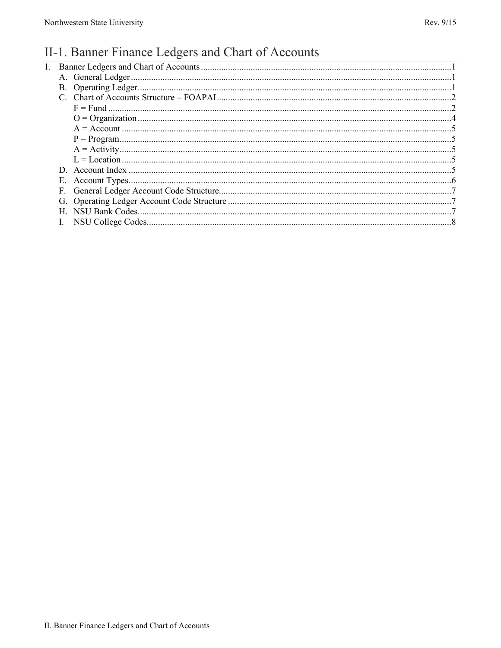#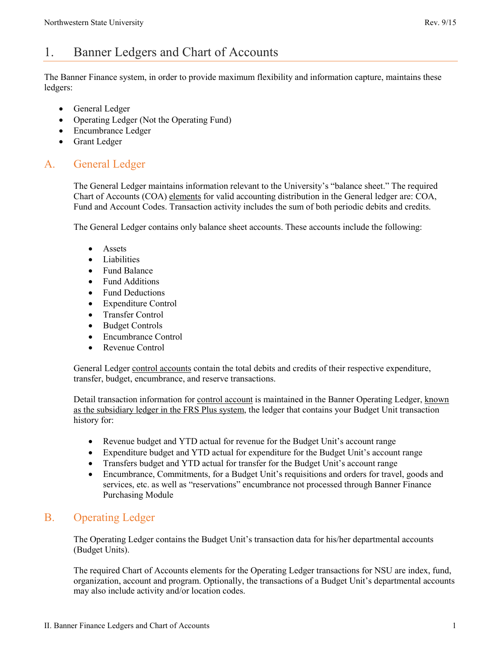# <span id="page-1-0"></span>1. Banner Ledgers and Chart of Accounts

The Banner Finance system, in order to provide maximum flexibility and information capture, maintains these ledgers:

- General Ledger
- Operating Ledger (Not the Operating Fund)
- Encumbrance Ledger
- Grant Ledger

## <span id="page-1-1"></span>A. General Ledger

The General Ledger maintains information relevant to the University's "balance sheet." The required Chart of Accounts (COA) elements for valid accounting distribution in the General ledger are: COA, Fund and Account Codes. Transaction activity includes the sum of both periodic debits and credits.

The General Ledger contains only balance sheet accounts. These accounts include the following:

- Assets
- Liabilities
- Fund Balance
- Fund Additions
- Fund Deductions
- Expenditure Control
- Transfer Control
- Budget Controls
- Encumbrance Control
- Revenue Control

General Ledger control accounts contain the total debits and credits of their respective expenditure, transfer, budget, encumbrance, and reserve transactions.

Detail transaction information for control account is maintained in the Banner Operating Ledger, known as the subsidiary ledger in the FRS Plus system, the ledger that contains your Budget Unit transaction history for:

- Revenue budget and YTD actual for revenue for the Budget Unit's account range
- Expenditure budget and YTD actual for expenditure for the Budget Unit's account range
- Transfers budget and YTD actual for transfer for the Budget Unit's account range
- Encumbrance, Commitments, for a Budget Unit's requisitions and orders for travel, goods and services, etc. as well as "reservations" encumbrance not processed through Banner Finance Purchasing Module

## <span id="page-1-2"></span>B. Operating Ledger

The Operating Ledger contains the Budget Unit's transaction data for his/her departmental accounts (Budget Units).

The required Chart of Accounts elements for the Operating Ledger transactions for NSU are index, fund, organization, account and program. Optionally, the transactions of a Budget Unit's departmental accounts may also include activity and/or location codes.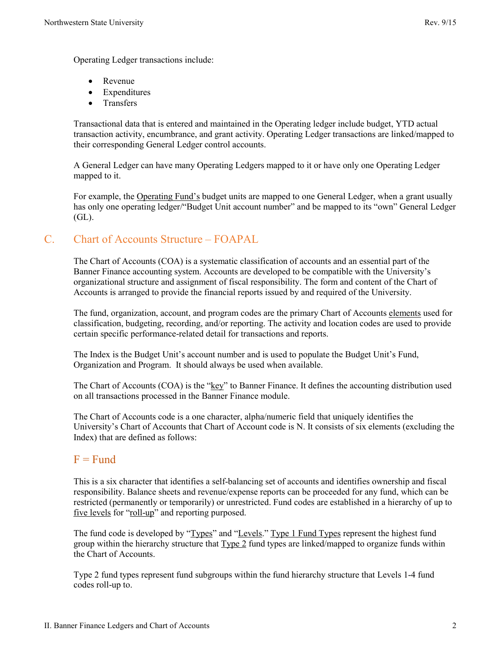Operating Ledger transactions include:

- Revenue
- Expenditures
- Transfers

Transactional data that is entered and maintained in the Operating ledger include budget, YTD actual transaction activity, encumbrance, and grant activity. Operating Ledger transactions are linked/mapped to their corresponding General Ledger control accounts.

A General Ledger can have many Operating Ledgers mapped to it or have only one Operating Ledger mapped to it.

For example, the Operating Fund's budget units are mapped to one General Ledger, when a grant usually has only one operating ledger/"Budget Unit account number" and be mapped to its "own" General Ledger (GL).

## <span id="page-2-0"></span>C. Chart of Accounts Structure – FOAPAL

The Chart of Accounts (COA) is a systematic classification of accounts and an essential part of the Banner Finance accounting system. Accounts are developed to be compatible with the University's organizational structure and assignment of fiscal responsibility. The form and content of the Chart of Accounts is arranged to provide the financial reports issued by and required of the University.

The fund, organization, account, and program codes are the primary Chart of Accounts elements used for classification, budgeting, recording, and/or reporting. The activity and location codes are used to provide certain specific performance-related detail for transactions and reports.

The Index is the Budget Unit's account number and is used to populate the Budget Unit's Fund, Organization and Program. It should always be used when available.

The Chart of Accounts (COA) is the "key" to Banner Finance. It defines the accounting distribution used on all transactions processed in the Banner Finance module.

The Chart of Accounts code is a one character, alpha/numeric field that uniquely identifies the University's Chart of Accounts that Chart of Account code is N. It consists of six elements (excluding the Index) that are defined as follows:

## <span id="page-2-1"></span> $F = Fund$

This is a six character that identifies a self-balancing set of accounts and identifies ownership and fiscal responsibility. Balance sheets and revenue/expense reports can be proceeded for any fund, which can be restricted (permanently or temporarily) or unrestricted. Fund codes are established in a hierarchy of up to five levels for "roll-up" and reporting purposed.

The fund code is developed by "Types" and "Levels." Type 1 Fund Types represent the highest fund group within the hierarchy structure that  $Type 2$  fund types are linked/mapped to organize funds within the Chart of Accounts.

Type 2 fund types represent fund subgroups within the fund hierarchy structure that Levels 1-4 fund codes roll-up to.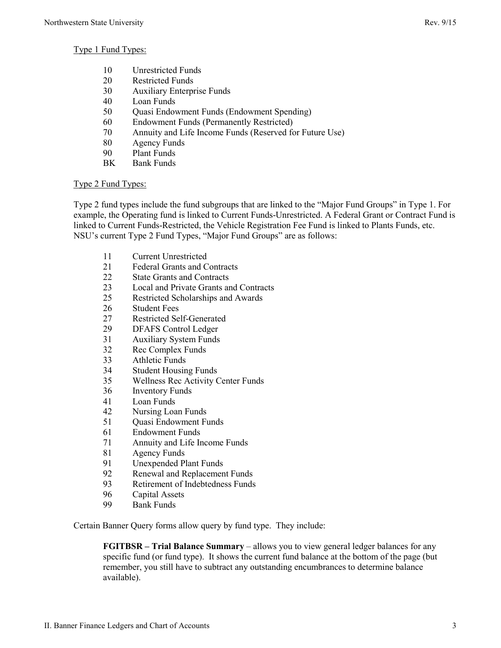- 10 Unrestricted Funds
- 20 Restricted Funds
- 30 Auxiliary Enterprise Funds
- 40 Loan Funds
- 50 Quasi Endowment Funds (Endowment Spending)
- 60 Endowment Funds (Permanently Restricted)
- 70 Annuity and Life Income Funds (Reserved for Future Use)
- 80 Agency Funds
- 90 Plant Funds
- BK Bank Funds

#### Type 2 Fund Types:

Type 2 fund types include the fund subgroups that are linked to the "Major Fund Groups" in Type 1. For example, the Operating fund is linked to Current Funds-Unrestricted. A Federal Grant or Contract Fund is linked to Current Funds-Restricted, the Vehicle Registration Fee Fund is linked to Plants Funds, etc. NSU's current Type 2 Fund Types, "Major Fund Groups" are as follows:

- 11 Current Unrestricted
- 21 Federal Grants and Contracts
- 22 State Grants and Contracts
- 23 Local and Private Grants and Contracts
- 25 Restricted Scholarships and Awards
- 26 Student Fees
- 27 Restricted Self-Generated
- 29 DFAFS Control Ledger
- 31 Auxiliary System Funds<br>32 Rec Complex Funds
- 32 Rec Complex Funds<br>33 Athletic Funds
- Athletic Funds
- 34 Student Housing Funds
- 35 Wellness Rec Activity Center Funds
- 36 Inventory Funds
- 41 Loan Funds
- 42 Nursing Loan Funds
- 51 Quasi Endowment Funds
- 61 Endowment Funds
- 71 Annuity and Life Income Funds
- 81 Agency Funds
- 91 Unexpended Plant Funds
- 92 Renewal and Replacement Funds
- 93 Retirement of Indebtedness Funds
- 96 Capital Assets<br>99 Bank Funds
- **Bank Funds**

Certain Banner Query forms allow query by fund type. They include:

**FGITBSR – Trial Balance Summary** – allows you to view general ledger balances for any specific fund (or fund type). It shows the current fund balance at the bottom of the page (but remember, you still have to subtract any outstanding encumbrances to determine balance available).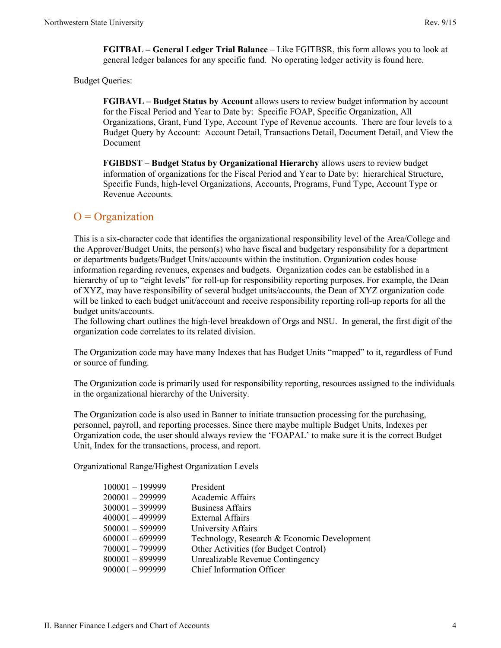**FGITBAL – General Ledger Trial Balance** – Like FGITBSR, this form allows you to look at general ledger balances for any specific fund. No operating ledger activity is found here.

Budget Queries:

**FGIBAVL – Budget Status by Account** allows users to review budget information by account for the Fiscal Period and Year to Date by: Specific FOAP, Specific Organization, All Organizations, Grant, Fund Type, Account Type of Revenue accounts. There are four levels to a Budget Query by Account: Account Detail, Transactions Detail, Document Detail, and View the Document

**FGIBDST – Budget Status by Organizational Hierarchy** allows users to review budget information of organizations for the Fiscal Period and Year to Date by: hierarchical Structure, Specific Funds, high-level Organizations, Accounts, Programs, Fund Type, Account Type or Revenue Accounts.

#### <span id="page-4-0"></span> $O = Organization$

This is a six-character code that identifies the organizational responsibility level of the Area/College and the Approver/Budget Units, the person(s) who have fiscal and budgetary responsibility for a department or departments budgets/Budget Units/accounts within the institution. Organization codes house information regarding revenues, expenses and budgets. Organization codes can be established in a hierarchy of up to "eight levels" for roll-up for responsibility reporting purposes. For example, the Dean of XYZ, may have responsibility of several budget units/accounts, the Dean of XYZ organization code will be linked to each budget unit/account and receive responsibility reporting roll-up reports for all the budget units/accounts.

The following chart outlines the high-level breakdown of Orgs and NSU. In general, the first digit of the organization code correlates to its related division.

The Organization code may have many Indexes that has Budget Units "mapped" to it, regardless of Fund or source of funding.

The Organization code is primarily used for responsibility reporting, resources assigned to the individuals in the organizational hierarchy of the University.

The Organization code is also used in Banner to initiate transaction processing for the purchasing, personnel, payroll, and reporting processes. Since there maybe multiple Budget Units, Indexes per Organization code, the user should always review the 'FOAPAL' to make sure it is the correct Budget Unit, Index for the transactions, process, and report.

Organizational Range/Highest Organization Levels

| $100001 - 199999$ | President                                   |
|-------------------|---------------------------------------------|
| $200001 - 299999$ | Academic Affairs                            |
| $300001 - 399999$ | <b>Business Affairs</b>                     |
| $400001 - 499999$ | <b>External Affairs</b>                     |
| $500001 - 599999$ | University Affairs                          |
| $600001 - 699999$ | Technology, Research & Economic Development |
| $700001 - 799999$ | Other Activities (for Budget Control)       |
| $800001 - 899999$ | Unrealizable Revenue Contingency            |
| $900001 - 999999$ | <b>Chief Information Officer</b>            |
|                   |                                             |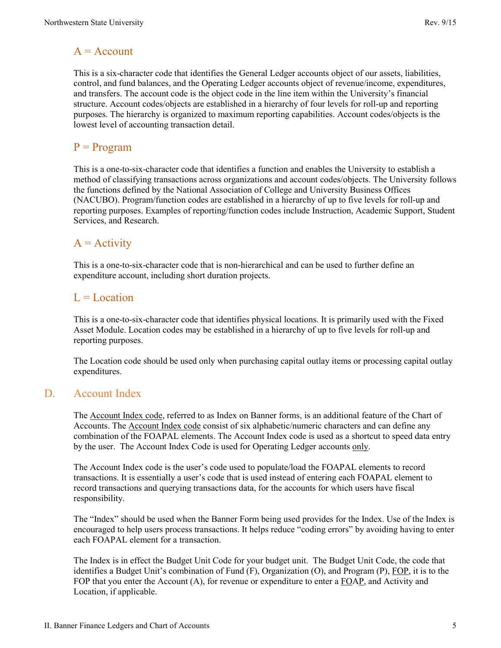## <span id="page-5-0"></span> $A = Account$

This is a six-character code that identifies the General Ledger accounts object of our assets, liabilities, control, and fund balances, and the Operating Ledger accounts object of revenue/income, expenditures, and transfers. The account code is the object code in the line item within the University's financial structure. Account codes/objects are established in a hierarchy of four levels for roll-up and reporting purposes. The hierarchy is organized to maximum reporting capabilities. Account codes/objects is the lowest level of accounting transaction detail.

## <span id="page-5-1"></span> $P = Program$

This is a one-to-six-character code that identifies a function and enables the University to establish a method of classifying transactions across organizations and account codes/objects. The University follows the functions defined by the National Association of College and University Business Offices (NACUBO). Program/function codes are established in a hierarchy of up to five levels for roll-up and reporting purposes. Examples of reporting/function codes include Instruction, Academic Support, Student Services, and Research.

## <span id="page-5-2"></span> $A =$  Activity

This is a one-to-six-character code that is non-hierarchical and can be used to further define an expenditure account, including short duration projects.

## <span id="page-5-3"></span> $L =$ Location

This is a one-to-six-character code that identifies physical locations. It is primarily used with the Fixed Asset Module. Location codes may be established in a hierarchy of up to five levels for roll-up and reporting purposes.

The Location code should be used only when purchasing capital outlay items or processing capital outlay expenditures.

## <span id="page-5-4"></span>D. Account Index

The Account Index code, referred to as Index on Banner forms, is an additional feature of the Chart of Accounts. The Account Index code consist of six alphabetic/numeric characters and can define any combination of the FOAPAL elements. The Account Index code is used as a shortcut to speed data entry by the user. The Account Index Code is used for Operating Ledger accounts only.

The Account Index code is the user's code used to populate/load the FOAPAL elements to record transactions. It is essentially a user's code that is used instead of entering each FOAPAL element to record transactions and querying transactions data, for the accounts for which users have fiscal responsibility.

The "Index" should be used when the Banner Form being used provides for the Index. Use of the Index is encouraged to help users process transactions. It helps reduce "coding errors" by avoiding having to enter each FOAPAL element for a transaction.

The Index is in effect the Budget Unit Code for your budget unit. The Budget Unit Code, the code that identifies a Budget Unit's combination of Fund  $(F)$ , Organization  $(O)$ , and Program  $(P)$ , FOP, it is to the FOP that you enter the Account (A), for revenue or expenditure to enter a FOAP, and Activity and Location, if applicable.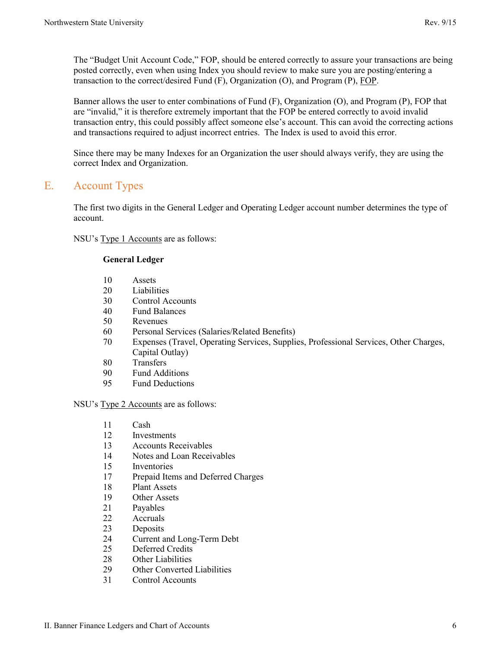The "Budget Unit Account Code," FOP, should be entered correctly to assure your transactions are being posted correctly, even when using Index you should review to make sure you are posting/entering a transaction to the correct/desired Fund (F), Organization (O), and Program (P), FOP.

Banner allows the user to enter combinations of Fund (F), Organization (O), and Program (P), FOP that are "invalid," it is therefore extremely important that the FOP be entered correctly to avoid invalid transaction entry, this could possibly affect someone else's account. This can avoid the correcting actions and transactions required to adjust incorrect entries. The Index is used to avoid this error.

Since there may be many Indexes for an Organization the user should always verify, they are using the correct Index and Organization.

## <span id="page-6-0"></span>E. Account Types

The first two digits in the General Ledger and Operating Ledger account number determines the type of account.

NSU's Type 1 Accounts are as follows:

#### **General Ledger**

- 10 Assets
- 20 Liabilities
- 30 Control Accounts
- 40 Fund Balances
- 50 Revenues
- 60 Personal Services (Salaries/Related Benefits)
- 70 Expenses (Travel, Operating Services, Supplies, Professional Services, Other Charges, Capital Outlay)
- 80 Transfers
- 90 Fund Additions
- 95 Fund Deductions

#### NSU's Type 2 Accounts are as follows:

- 11 Cash
- 12 Investments
- 13 Accounts Receivables
- 14 Notes and Loan Receivables
- 15 Inventories
- 17 Prepaid Items and Deferred Charges
- 18 Plant Assets
- 19 Other Assets<br>21 Payables
- 21 Payables<br>22 Accruals
- Accruals
- 23 Deposits
- 24 Current and Long-Term Debt
- 25 Deferred Credits
- 28 Other Liabilities
- 29 Other Converted Liabilities
- 31 Control Accounts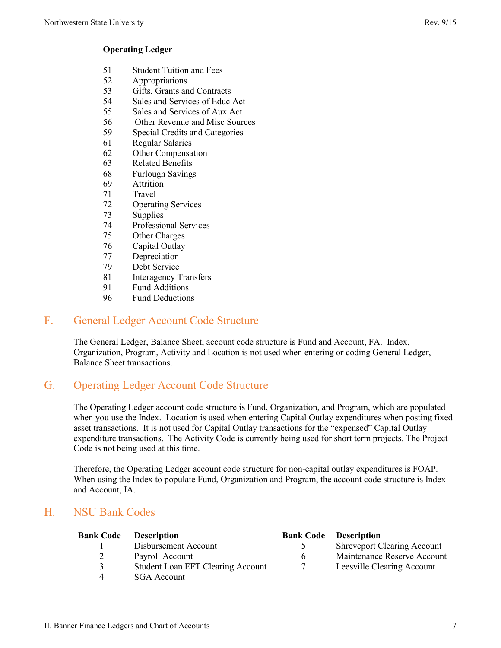#### **Operating Ledger**

- 51 Student Tuition and Fees
- 52 Appropriations
- 53 Gifts, Grants and Contracts
- 54 Sales and Services of Educ Act
- 55 Sales and Services of Aux Act
- 56 Other Revenue and Misc Sources
- 59 Special Credits and Categories
- 61 Regular Salaries
- 62 Other Compensation
- 63 Related Benefits
- 68 Furlough Savings
- 69 Attrition
- 71 Travel
- 72 Operating Services
- 73 Supplies
- 74 Professional Services
- 75 Other Charges
- 76 Capital Outlay
- 77 Depreciation
- 79 Debt Service
- 81 Interagency Transfers
- 91 Fund Additions<br>96 Fund Deduction
- Fund Deductions

## <span id="page-7-0"></span>F. General Ledger Account Code Structure

The General Ledger, Balance Sheet, account code structure is Fund and Account, FA. Index, Organization, Program, Activity and Location is not used when entering or coding General Ledger, Balance Sheet transactions.

## <span id="page-7-1"></span>G. Operating Ledger Account Code Structure

The Operating Ledger account code structure is Fund, Organization, and Program, which are populated when you use the Index. Location is used when entering Capital Outlay expenditures when posting fixed asset transactions. It is not used for Capital Outlay transactions for the "expensed" Capital Outlay expenditure transactions. The Activity Code is currently being used for short term projects. The Project Code is not being used at this time.

Therefore, the Operating Ledger account code structure for non-capital outlay expenditures is FOAP. When using the Index to populate Fund, Organization and Program, the account code structure is Index and Account, IA.

## <span id="page-7-2"></span>H. NSU Bank Codes

| <b>Bank Code</b> | <b>Description</b>                       |    | <b>Bank Code Description</b>       |
|------------------|------------------------------------------|----|------------------------------------|
|                  | Disbursement Account                     |    | <b>Shreveport Clearing Account</b> |
| 2                | Payroll Account                          | 6. | Maintenance Reserve Account        |
| 3                | <b>Student Loan EFT Clearing Account</b> |    | Leesville Clearing Account         |
| 4                | <b>SGA</b> Account                       |    |                                    |